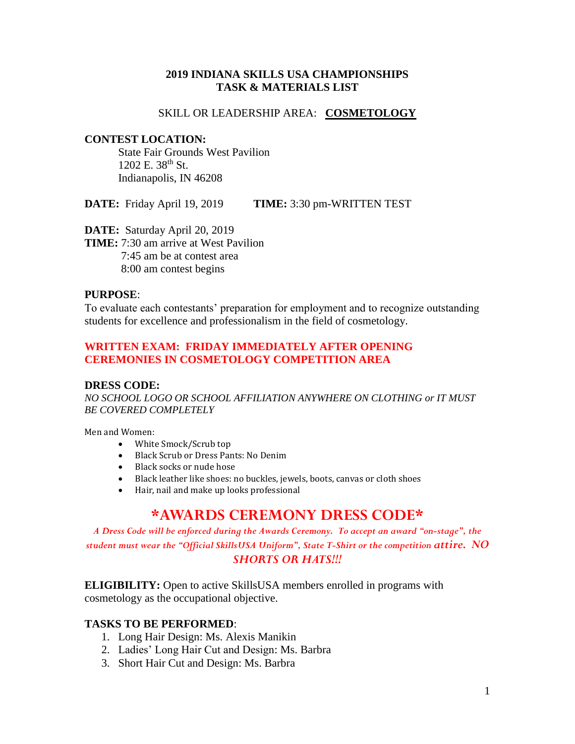### **2019 INDIANA SKILLS USA CHAMPIONSHIPS TASK & MATERIALS LIST**

#### SKILL OR LEADERSHIP AREA: **COSMETOLOGY**

#### **CONTEST LOCATION:**

State Fair Grounds West Pavilion  $1202$  E.  $38^{th}$  St. Indianapolis, IN 46208

**DATE:** Friday April 19, 2019 **TIME:** 3:30 pm-WRITTEN TEST

**DATE:** Saturday April 20, 2019 **TIME:** 7:30 am arrive at West Pavilion 7:45 am be at contest area 8:00 am contest begins

#### **PURPOSE**:

To evaluate each contestants' preparation for employment and to recognize outstanding students for excellence and professionalism in the field of cosmetology.

## **WRITTEN EXAM: FRIDAY IMMEDIATELY AFTER OPENING CEREMONIES IN COSMETOLOGY COMPETITION AREA**

#### **DRESS CODE:**

*NO SCHOOL LOGO OR SCHOOL AFFILIATION ANYWHERE ON CLOTHING or IT MUST BE COVERED COMPLETELY*

Men and Women:

- White Smock/Scrub top
- Black Scrub or Dress Pants: No Denim
- Black socks or nude hose
- Black leather like shoes: no buckles, jewels, boots, canvas or cloth shoes
- Hair, nail and make up looks professional

# **\*AWARDS CEREMONY DRESS CODE\***

*A Dress Code will be enforced during the Awards Ceremony. To accept an award "on-stage", the student must wear the "Official SkillsUSA Uniform", State T-Shirt or the competition attire. NO SHORTS OR HATS!!!*

**ELIGIBILITY:** Open to active SkillsUSA members enrolled in programs with cosmetology as the occupational objective.

### **TASKS TO BE PERFORMED**:

- 1. Long Hair Design: Ms. Alexis Manikin
- 2. Ladies' Long Hair Cut and Design: Ms. Barbra
- 3. Short Hair Cut and Design: Ms. Barbra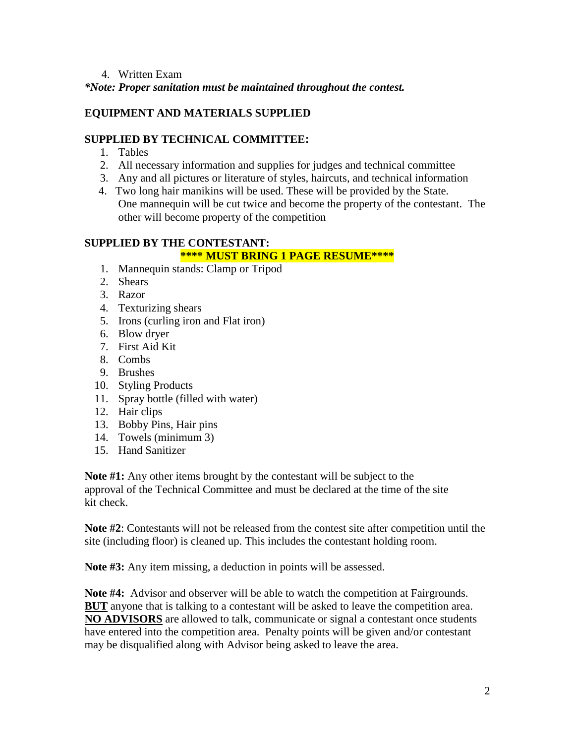### 4. Written Exam

*\*Note: Proper sanitation must be maintained throughout the contest.*

## **EQUIPMENT AND MATERIALS SUPPLIED**

## **SUPPLIED BY TECHNICAL COMMITTEE:**

- 1. Tables
- 2. All necessary information and supplies for judges and technical committee
- 3. Any and all pictures or literature of styles, haircuts, and technical information
- 4. Two long hair manikins will be used. These will be provided by the State. One mannequin will be cut twice and become the property of the contestant. The other will become property of the competition

## **SUPPLIED BY THE CONTESTANT:**

## **\*\*\*\* MUST BRING 1 PAGE RESUME\*\*\*\***

- 1. Mannequin stands: Clamp or Tripod
- 2. Shears
- 3. Razor
- 4. Texturizing shears
- 5. Irons (curling iron and Flat iron)
- 6. Blow dryer
- 7. First Aid Kit
- 8. Combs
- 9. Brushes
- 10. Styling Products
- 11. Spray bottle (filled with water)
- 12. Hair clips
- 13. Bobby Pins, Hair pins
- 14. Towels (minimum 3)
- 15. Hand Sanitizer

**Note #1:** Any other items brought by the contestant will be subject to the approval of the Technical Committee and must be declared at the time of the site kit check.

**Note #2**: Contestants will not be released from the contest site after competition until the site (including floor) is cleaned up. This includes the contestant holding room.

**Note #3:** Any item missing, a deduction in points will be assessed.

**Note #4:** Advisor and observer will be able to watch the competition at Fairgrounds. **BUT** anyone that is talking to a contestant will be asked to leave the competition area. **NO ADVISORS** are allowed to talk, communicate or signal a contestant once students have entered into the competition area. Penalty points will be given and/or contestant may be disqualified along with Advisor being asked to leave the area.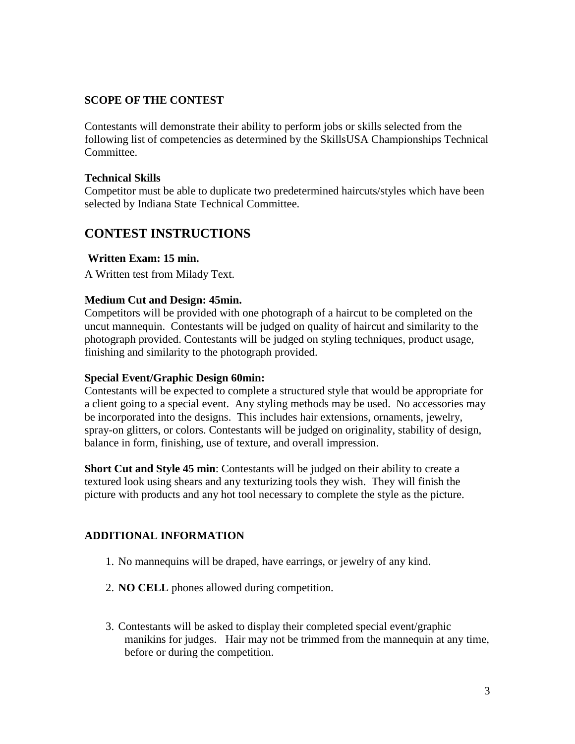## **SCOPE OF THE CONTEST**

Contestants will demonstrate their ability to perform jobs or skills selected from the following list of competencies as determined by the SkillsUSA Championships Technical Committee.

## **Technical Skills**

Competitor must be able to duplicate two predetermined haircuts/styles which have been selected by Indiana State Technical Committee.

## **CONTEST INSTRUCTIONS**

## **Written Exam: 15 min.**

A Written test from Milady Text.

## **Medium Cut and Design: 45min.**

Competitors will be provided with one photograph of a haircut to be completed on the uncut mannequin. Contestants will be judged on quality of haircut and similarity to the photograph provided. Contestants will be judged on styling techniques, product usage, finishing and similarity to the photograph provided.

### **Special Event/Graphic Design 60min:**

Contestants will be expected to complete a structured style that would be appropriate for a client going to a special event. Any styling methods may be used. No accessories may be incorporated into the designs. This includes hair extensions, ornaments, jewelry, spray-on glitters, or colors. Contestants will be judged on originality, stability of design, balance in form, finishing, use of texture, and overall impression.

**Short Cut and Style 45 min**: Contestants will be judged on their ability to create a textured look using shears and any texturizing tools they wish. They will finish the picture with products and any hot tool necessary to complete the style as the picture.

## **ADDITIONAL INFORMATION**

- 1. No mannequins will be draped, have earrings, or jewelry of any kind.
- 2. **NO CELL** phones allowed during competition.
- 3. Contestants will be asked to display their completed special event/graphic manikins for judges. Hair may not be trimmed from the mannequin at any time, before or during the competition.